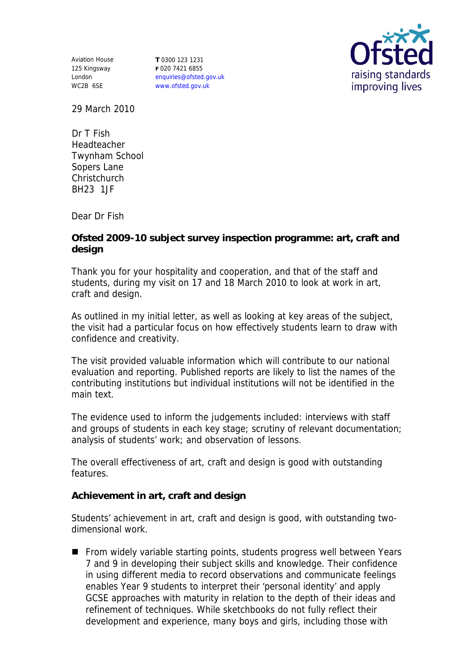Aviation House 125 Kingsway London WC2B 6SE

**T** 0300 123 1231 **F** 020 7421 6855 enquiries@ofsted.gov.uk www.ofsted.gov.uk



29 March 2010

Dr T Fish Headteacher Twynham School Sopers Lane **Christchurch** BH23 1JF

Dear Dr Fish

**Ofsted 2009-10 subject survey inspection programme: art, craft and design**

Thank you for your hospitality and cooperation, and that of the staff and students, during my visit on 17 and 18 March 2010 to look at work in art, craft and design.

As outlined in my initial letter, as well as looking at key areas of the subject, the visit had a particular focus on how effectively students learn to draw with confidence and creativity.

The visit provided valuable information which will contribute to our national evaluation and reporting. Published reports are likely to list the names of the contributing institutions but individual institutions will not be identified in the main text.

The evidence used to inform the judgements included: interviews with staff and groups of students in each key stage; scrutiny of relevant documentation; analysis of students' work; and observation of lessons.

The overall effectiveness of art, craft and design is good with outstanding features.

**Achievement in art, craft and design** 

Students' achievement in art, craft and design is good, with outstanding twodimensional work.

■ From widely variable starting points, students progress well between Years 7 and 9 in developing their subject skills and knowledge. Their confidence in using different media to record observations and communicate feelings enables Year 9 students to interpret their 'personal identity' and apply GCSE approaches with maturity in relation to the depth of their ideas and refinement of techniques. While sketchbooks do not fully reflect their development and experience, many boys and girls, including those with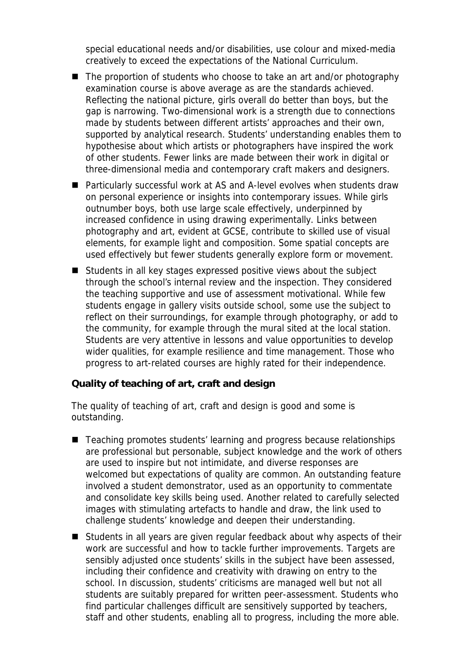special educational needs and/or disabilities, use colour and mixed-media creatively to exceed the expectations of the National Curriculum.

- The proportion of students who choose to take an art and/or photography examination course is above average as are the standards achieved. Reflecting the national picture, girls overall do better than boys, but the gap is narrowing. Two-dimensional work is a strength due to connections made by students between different artists' approaches and their own, supported by analytical research. Students' understanding enables them to hypothesise about which artists or photographers have inspired the work of other students. Fewer links are made between their work in digital or three-dimensional media and contemporary craft makers and designers.
- Particularly successful work at AS and A-level evolves when students draw on personal experience or insights into contemporary issues. While girls outnumber boys, both use large scale effectively, underpinned by increased confidence in using drawing experimentally. Links between photography and art, evident at GCSE, contribute to skilled use of visual elements, for example light and composition. Some spatial concepts are used effectively but fewer students generally explore form or movement.
- Students in all key stages expressed positive views about the subject through the school's internal review and the inspection. They considered the teaching supportive and use of assessment motivational. While few students engage in gallery visits outside school, some use the subject to reflect on their surroundings, for example through photography, or add to the community, for example through the mural sited at the local station. Students are very attentive in lessons and value opportunities to develop wider qualities, for example resilience and time management. Those who progress to art-related courses are highly rated for their independence.

**Quality of teaching of art, craft and design**

The quality of teaching of art, craft and design is good and some is outstanding.

- Teaching promotes students' learning and progress because relationships are professional but personable, subject knowledge and the work of others are used to inspire but not intimidate, and diverse responses are welcomed but expectations of quality are common. An outstanding feature involved a student demonstrator, used as an opportunity to commentate and consolidate key skills being used. Another related to carefully selected images with stimulating artefacts to handle and draw, the link used to challenge students' knowledge and deepen their understanding.
- Students in all years are given regular feedback about why aspects of their work are successful and how to tackle further improvements. Targets are sensibly adjusted once students' skills in the subject have been assessed, including their confidence and creativity with drawing on entry to the school. In discussion, students' criticisms are managed well but not all students are suitably prepared for written peer-assessment. Students who find particular challenges difficult are sensitively supported by teachers, staff and other students, enabling all to progress, including the more able.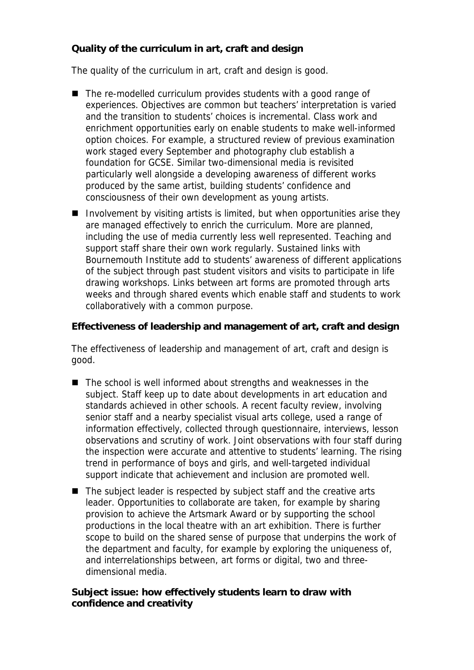**Quality of the curriculum in art, craft and design**

The quality of the curriculum in art, craft and design is good.

- The re-modelled curriculum provides students with a good range of experiences. Objectives are common but teachers' interpretation is varied and the transition to students' choices is incremental. Class work and enrichment opportunities early on enable students to make well-informed option choices. For example, a structured review of previous examination work staged every September and photography club establish a foundation for GCSE. Similar two-dimensional media is revisited particularly well alongside a developing awareness of different works produced by the same artist, building students' confidence and consciousness of their own development as young artists.
- Involvement by visiting artists is limited, but when opportunities arise they are managed effectively to enrich the curriculum. More are planned, including the use of media currently less well represented. Teaching and support staff share their own work regularly. Sustained links with Bournemouth Institute add to students' awareness of different applications of the subject through past student visitors and visits to participate in life drawing workshops. Links between art forms are promoted through arts weeks and through shared events which enable staff and students to work collaboratively with a common purpose.

**Effectiveness of leadership and management of art, craft and design**

The effectiveness of leadership and management of art, craft and design is good.

- The school is well informed about strengths and weaknesses in the subject. Staff keep up to date about developments in art education and standards achieved in other schools. A recent faculty review, involving senior staff and a nearby specialist visual arts college, used a range of information effectively, collected through questionnaire, interviews, lesson observations and scrutiny of work. Joint observations with four staff during the inspection were accurate and attentive to students' learning. The rising trend in performance of boys and girls, and well-targeted individual support indicate that achievement and inclusion are promoted well.
- The subject leader is respected by subject staff and the creative arts leader. Opportunities to collaborate are taken, for example by sharing provision to achieve the Artsmark Award or by supporting the school productions in the local theatre with an art exhibition. There is further scope to build on the shared sense of purpose that underpins the work of the department and faculty, for example by exploring the uniqueness of, and interrelationships between, art forms or digital, two and threedimensional media.

**Subject issue: how effectively students learn to draw with confidence and creativity**